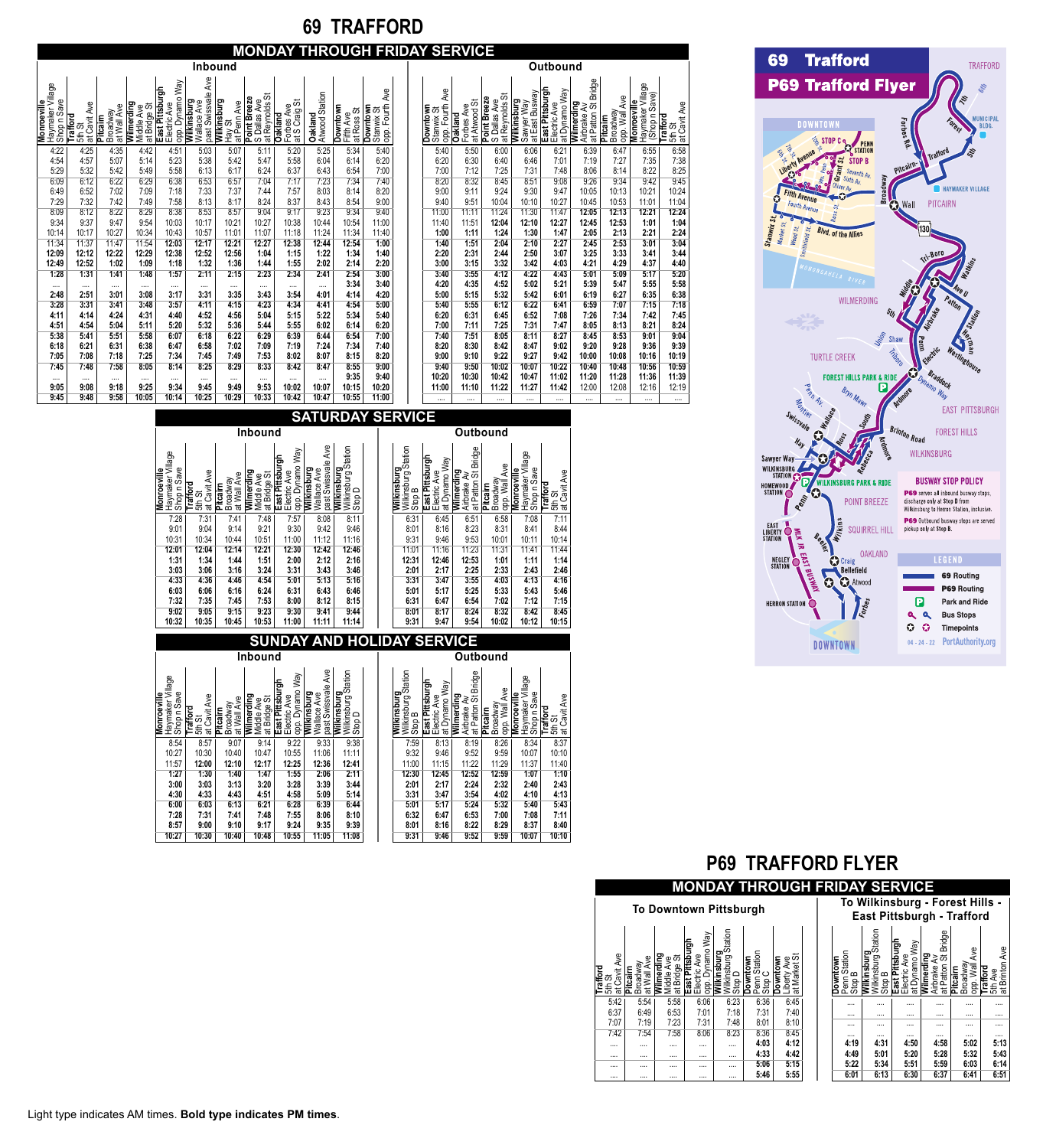# **69 TRAFFORD**

# **MONDAY THROUGH FRIDAY SERVICE**

|                                                       |                                    |                                    |                                          |                                                           |                                                     | <b>Inbound</b>                            |                                                  |                                                             |                           |                                            |                                                     |                                              |                                              |                                                       |                                             | Outbound                                         |            |
|-------------------------------------------------------|------------------------------------|------------------------------------|------------------------------------------|-----------------------------------------------------------|-----------------------------------------------------|-------------------------------------------|--------------------------------------------------|-------------------------------------------------------------|---------------------------|--------------------------------------------|-----------------------------------------------------|----------------------------------------------|----------------------------------------------|-------------------------------------------------------|---------------------------------------------|--------------------------------------------------|------------|
| Haymaker Village<br>Shop n Save<br><b>Monroeville</b> | at Cavit Ave<br>Trafford<br>5th St | at Wall Ave<br>Broadway<br>Pitcaim | Wilmerding<br>Middle Ave<br>at Bridge St | opp. Dynamo Way<br><b>East Pittsburgh</b><br>Electric Ave | Ave<br>past Swissvale<br>Wilkinsburg<br>Wallace Ave | Wilkinsburg<br>at Penn Ave<br>た<br>Nav St | あ<br>Point Breeze<br>S Dallas Ave<br>at Reynolds | Forbes Ave<br>at S Craig St<br>at S Craig<br><b>Oakland</b> | Atwood Station<br>Oakland | <b>Downtown</b><br>at Ross St<br>Fifth Ave | Ave<br>opp. Fourth<br><b>Downtown</b><br>Stanwix St | Ave<br>opp. Fourth<br>Downtown<br>Stanwix St | at Atwood St<br>Forbes Ave<br><b>Oakland</b> | at Reynolds St<br><b>Point Breeze</b><br>S Dallas Ave | at Eást Busway<br>Wilkinsburg<br>Sawyer Way | East Pittsburgh<br>Electric Ave<br>at Dynamo Way | Wilmerding |
| 4:22                                                  | 4:25                               | 4:35                               | 4:42                                     | 4:51                                                      | 5:03                                                | 5:07                                      | 5:11                                             | 5:20                                                        | 5:25                      | 5:34                                       | 5:40                                                | 5:40                                         | 5:50                                         | 6:00                                                  | 6:06                                        | 6:21                                             |            |
| 4:54                                                  | 4:57                               | 5:07                               | 5:14                                     | 5:23                                                      | 5:38                                                | 5:42                                      | 5:47                                             | 5:58                                                        | 6:04                      | 6:14                                       | 6:20                                                | 6:20                                         | 6:30                                         | 6:40                                                  | 6:46                                        | 7:01                                             |            |
| 5:29                                                  | 5:32                               | 5:42                               | 5:49                                     | 5:58                                                      | 6:13                                                | 6:17                                      | 6:24                                             | 6:37                                                        | 6:43                      | 6:54                                       | 7:00                                                | 7:00                                         | 7:12                                         | 7:25                                                  | 7:31                                        | 7:48                                             |            |
| 6:09                                                  | 6:12                               | 6:22                               | 6:29                                     | 6:38                                                      | 6:53                                                | 6:57                                      | 7:04                                             | 7:17                                                        | 7:23                      | 7:34                                       | 7:40                                                | 8:20                                         | 8:32                                         | 8:45                                                  | 8:51                                        | 9:08                                             |            |
| 6:49                                                  | 6:52                               | 7:02                               | 7:09                                     | 7:18                                                      | 7:33                                                | 7:37                                      | 7:44                                             | 7:57                                                        | 8:03                      | 8:14                                       | 8:20                                                | 9:00                                         | 9:11                                         | 9:24                                                  | 9:30                                        | 9:47                                             |            |
| 7:29                                                  | 7:32                               | 7:42                               | 7:49                                     | 7:58                                                      | 8:13                                                | 8:17                                      | 8:24                                             | 8:37                                                        | 8:43                      | 8:54                                       | 9:00                                                | 9:40                                         | 9:51                                         | 10:04                                                 | 10:10                                       | 10:27                                            |            |
| 8:09                                                  | 8:12                               | 8:22                               | 8:29                                     | 8:38                                                      | 8:53                                                | 8:57                                      | 9:04                                             | 9:17                                                        | 9:23                      | 9:34                                       | 9:40                                                | 11:00                                        | 11:11                                        | 11:24                                                 | 11:30                                       | 11:47                                            |            |
| 9:34                                                  | 9:37                               | 9:47                               | 9:54                                     | 10:03                                                     | 10:17                                               | 10:21                                     | 10:27                                            | 10:38                                                       | 10:44                     | 10:54                                      | 11:00                                               | 11:40                                        | 11:51                                        | 12:04                                                 | 12:10                                       | 12:27                                            |            |
| 10:14                                                 | 10:17                              | 10:27                              | 10:34                                    | 10:43                                                     | 10:57                                               | 11:01                                     | 11:07                                            | 11:18                                                       | 11:24                     | 11:34                                      | 11:40                                               | 1:00                                         | 1:11                                         | 1:24                                                  | 1:30                                        | 1:47                                             |            |
| 11:34                                                 | 11:37                              | 11:47                              | 11:54                                    | 12:03                                                     | 12:17                                               | 12:21                                     | 12:27                                            | 12:38                                                       | 12:44                     | 12:54                                      | 1:00                                                | 1:40                                         | 1:51                                         | 2:04                                                  | 2:10                                        | 2:27                                             |            |
| 12:09                                                 | 12:12                              | 12:22                              | 12:29                                    | 12:38                                                     | 12:52                                               | 12:56                                     | 1:04                                             | 1:15                                                        | 1:22                      | 1:34                                       | 1:40                                                | 2:20                                         | 2:31                                         | 2:44                                                  | 2:50                                        | 3:07                                             |            |
| 12:49                                                 | 12:52                              | 1:02                               | 1:09                                     | 1:18                                                      | 1:32                                                | 1:36                                      | 1:44                                             | 1:55                                                        | 2:02                      | 2:14                                       | 2:20                                                | 3:00                                         | 3:15                                         | 3:32                                                  | 3:42                                        | 4:03                                             |            |
| 1:28                                                  | 1:31                               | 1:41                               | 1:48                                     | 1:57                                                      | 2:11                                                | 2:15                                      | 2:23                                             | 2:34                                                        | 2:41                      | 2:54                                       | 3:00                                                | 3:40                                         | 3:55                                         | 4:12                                                  | 4:22                                        | 4:43                                             |            |
| $\cdots$                                              | $\cdots$                           | $\cdots$                           | $\cdots$                                 | $\cdots$                                                  | $\cdots$                                            | $\cdots$                                  | $\cdots$                                         | $\cdots$                                                    |                           | 3:34                                       | 3:40                                                | 4:20                                         | 4:35                                         | 4:52                                                  | 5:02                                        | 5:21                                             |            |
| 2:48                                                  | 2:51                               | 3:01                               | 3:08                                     | 3:17                                                      | 3:31                                                | 3:35                                      | 3:43                                             | 3:54                                                        | 4:01                      | 4:14                                       | 4:20                                                | 5:00                                         | 5:15                                         | 5:32                                                  | 5:42                                        | 6:01                                             |            |
| 3:28                                                  | 3:31                               | 3:41                               | 3:48                                     | 3:57                                                      | 4:11                                                | 4:15                                      | 4:23                                             | 4:34                                                        | 4:41                      | 4:54                                       | 5:00                                                | 5:40                                         | 5:55                                         | 6:12                                                  | 6:22                                        | 6:41                                             |            |
| 4:11                                                  | 4:14                               | 4:24                               | 4:31                                     | 4:40                                                      | 4:52                                                | 4:56                                      | 5:04                                             | 5:15                                                        | 5:22                      | 5:34                                       | 5:40                                                | 6:20                                         | 6:31                                         | 6:45                                                  | 6:52                                        | 7:08                                             |            |
| 4:51                                                  | 4:54                               | 5:04                               | 5:11                                     | 5:20                                                      | 5:32                                                | 5:36                                      | 5:44                                             | 5:55                                                        | 6:02                      | 6:14                                       | 6:20                                                | 7:00                                         | 7:11                                         | 7:25                                                  | 7:31                                        | 7:47                                             |            |
| 5:38                                                  | 5:41                               | 5:51                               | 5:58                                     | 6:07                                                      | 6:18                                                | 6:22                                      | 6:29                                             | 6:39                                                        | 6:44                      | 6:54                                       | 7:00                                                | 7:40                                         | 7:51                                         | 8:05                                                  | 8:11                                        | 8:27                                             |            |
| 6:18                                                  | 6:21                               | 6:31                               | 6:38                                     | 6:47                                                      | 6:58                                                | 7:02                                      | 7:09                                             | 7:19                                                        | 7:24                      | 7:34                                       | 7:40                                                | 8:20                                         | 8:30                                         | 8:42                                                  | 8:47                                        | 9:02                                             |            |
| 7:05                                                  | 7:08                               | 7:18                               | 7:25                                     | 7:34                                                      | 7:45                                                | 7:49                                      | 7:53                                             | 8:02                                                        | 8:07                      | 8:15                                       | 8:20                                                | 9:00                                         | 9:10                                         | 9:22                                                  | 9:27                                        | 9:42                                             |            |
| 7:45                                                  | 7:48                               | 7:58                               | 8:05                                     | 8:14                                                      | 8:25                                                | 8:29                                      | 8:33                                             | 8:42                                                        | 8:47                      | 8:55                                       | 9:00                                                | 9:40                                         | 9:50                                         | 10:02                                                 | 10:07                                       | 10:22                                            |            |
|                                                       |                                    |                                    | $\cdots$                                 |                                                           | $\cdots$                                            | $\cdots$                                  | $\cdots$                                         | $\cdots$                                                    |                           | 9:35                                       | 9:40                                                | 10:20                                        | 10:30                                        | 10:42                                                 | 10:47                                       | 11:02                                            |            |
| 9:05                                                  | 9:08                               | 9:18                               | 9:25                                     | 9:34                                                      | 9:45                                                | 9:49                                      | 9:53                                             | 10:02                                                       | 10:07                     | 10:15                                      | 10:20                                               | 11:00                                        | 11:10                                        | 11:22                                                 | 11:27                                       | 11:42                                            |            |
| 9:45                                                  | 9:48                               | 9:58                               | 10:05                                    | 10:14                                                     | 10:25                                               | 10:29                                     | 10:33                                            | 10:42                                                       | 10:47                     | 10:55                                      | 11:00                                               | $\cdots$                                     | $\cdots$                                     |                                                       |                                             | $\cdots$                                         |            |

**Monroeville** Haymaker Village

|                                           |                                       |                                                       |                                             | Outbound                                         |                                                  |                                       |                                                  |                                           |
|-------------------------------------------|---------------------------------------|-------------------------------------------------------|---------------------------------------------|--------------------------------------------------|--------------------------------------------------|---------------------------------------|--------------------------------------------------|-------------------------------------------|
| opp. Fourth Ave<br>Downtown<br>Stanwix St | at Atwood St<br>Forbes Ave<br>Oakland | at Reynolds St<br><b>Point Breeze</b><br>S Dallas Ave | at East Busway<br>Wilkinsburg<br>Sawyer Way | East Pittsburgh<br>at Dynamo Way<br>Electric Ave | at Patton St Bridge<br>Wilmerding<br>Airbrake Av | opp. Wall Ave<br>Broadway<br>Pitcairn | Haymaker Village<br>(Shop n Save)<br>Monroeville | at Cavit Ave<br><b>Trafford</b><br>5th St |
| 5:40                                      | 5:50                                  | 6:00                                                  | 6:06                                        | 6:21                                             | 6:39                                             | 6:47                                  | 6:55                                             | 6:58                                      |
| 6:20                                      | 6:30                                  | 6:40                                                  | 6:46                                        | 7:01                                             | 7:19                                             | 7:27                                  | 7:35                                             | 7:38                                      |
| 7:00                                      | 7:12                                  | 7:25                                                  | 7:31                                        | 7:48                                             | 8:06                                             | 8:14                                  | 8:22                                             | 8:25                                      |
| 8:20                                      | 8:32                                  | 8:45                                                  | 8:51                                        | 9:08                                             | 9:26                                             | 9:34                                  | 9:42                                             | 9:45                                      |
| 9:00                                      | 9:11                                  | 9:24                                                  | 9:30                                        | 9:47                                             | 10:05                                            | 10:13                                 | 10:21                                            | 10:24                                     |
| 9:40                                      | 9:51                                  | 10:04                                                 | 10:10                                       | 10:27                                            | 10:45                                            | 10:53                                 | 11:01                                            | 11:04                                     |
| 11:00                                     | 11:11                                 | 11:24                                                 | 11:30                                       | 11:47                                            | 12:05                                            | 12:13                                 | 12:21                                            | 12:24                                     |
| 11:40                                     | 11:51                                 | 12:04                                                 | 12:10                                       | 12:27                                            | 12:45                                            | 12:53                                 | 1:01                                             | 1:04                                      |
| 1:00                                      | 1:11                                  | 1:24                                                  | 1:30                                        | 1:47                                             | 2:05                                             | 2:13                                  | 2:21                                             | 2:24                                      |
| 1:40                                      | 1:51                                  | 2:04                                                  | 2:10                                        | 2:27                                             | 2:45                                             | 2:53                                  | 3:01                                             | 3:04                                      |
| 2:20                                      | 2:31                                  | 2:44                                                  | 2:50                                        | 3:07                                             | 3:25                                             | 3:33                                  | 3:41                                             | 3:44                                      |
| 3:00                                      | 3:15                                  | 3:32                                                  | 3:42                                        | 4:03                                             | 4:21                                             | 4:29                                  | 4:37                                             | 4:40                                      |
| 3:40                                      | 3:55                                  | 4:12                                                  | 4:22                                        | 4:43                                             | 5:01                                             | 5:09                                  | 5:17                                             | 5:20                                      |
| 4:20                                      | 4:35                                  | 4:52                                                  | 5:02                                        | 5:21                                             | 5:39                                             | 5:47                                  | 5:55                                             | 5:58                                      |
| 5:00                                      | 5:15                                  | 5:32                                                  | 5:42                                        | 6:01                                             | 6:19                                             | 6:27                                  | 6:35                                             | 6:38                                      |
| 5:40                                      | 5:55                                  | 6:12                                                  | 6:22                                        | 6:41                                             | 6:59                                             | 7:07                                  | 7:15                                             | 7:18                                      |
| 6:20                                      | 6:31                                  | 6:45                                                  | 6:52                                        | 7:08                                             | 7:26                                             | 7:34                                  | 7:42                                             | 7:45                                      |
| 7:00                                      | 7:11                                  | 7:25                                                  | 7:31                                        | 7:47                                             | 8:05                                             | 8:13                                  | 8:21                                             | 8:24                                      |
| 7:40                                      | 7:51                                  | 8:05                                                  | 8:11                                        | 8:27                                             | 8:45                                             | 8:53                                  | 9:01                                             | 9:04                                      |
| 8:20                                      | 8:30                                  | 8:42                                                  | 8:47                                        | 9:02                                             | 9:20                                             | 9:28                                  | 9:36                                             | 9:39                                      |
| 9:00                                      | 9:10                                  | 9:22                                                  | 9:27                                        | 9:42                                             | 10:00                                            | 10:08                                 | 10:16                                            | 10:19                                     |
| 9:40                                      | 9:50                                  | 10:02                                                 | 10:07                                       | 10:22                                            | 10:40                                            | 10:48                                 | 10:56                                            | 10:59                                     |
| 10:20                                     | 10:30                                 | 10:42                                                 | 10:47                                       | 11:02                                            | 11:20                                            | 11:28                                 | 11:36                                            | 11:39                                     |
| 11:00                                     | 11:10                                 | 11:22                                                 | 11:27                                       | 11:42                                            | 12:00                                            | 12:08                                 | 12:16                                            | 12:19                                     |
|                                           |                                       |                                                       |                                             |                                                  |                                                  |                                       |                                                  |                                           |

|                         | » 효효효능적 중식 |          | ತ ≅ ≼    |          |          | $\mathbf{m} \cdot \mathbf{m} \cdot \mathbf{m} \cdot \mathbf{m} \cdot \mathbf{m} \cdot \mathbf{m} \cdot \mathbf{m} \cdot \mathbf{m} \cdot \mathbf{m} \cdot \mathbf{m} \cdot \mathbf{m} \cdot \mathbf{m} \cdot \mathbf{m} \cdot \mathbf{m} \cdot \mathbf{m} \cdot \mathbf{m} \cdot \mathbf{m} \cdot \mathbf{m} \cdot \mathbf{m} \cdot \mathbf{m} \cdot \mathbf{m} \cdot \mathbf{m} \cdot \mathbf{m} \cdot \mathbf{m} \cdot \mathbf{m} \cdot \mathbf{m} \cdot \mathbf{m} \cdot \mathbf{$ |          |       | ŏ₹       | 8또 # 및 앞 | ႜႜ    |          |       |       |       |       |       |       |          | ᆶӓ┪╜╩ |
|-------------------------|------------|----------|----------|----------|----------|---------------------------------------------------------------------------------------------------------------------------------------------------------------------------------------------------------------------------------------------------------------------------------------------------------------------------------------------------------------------------------------------------------------------------------------------------------------------------------------|----------|-------|----------|----------|-------|----------|-------|-------|-------|-------|-------|-------|----------|-------|
| 4:22                    | 4:25       | 4:35     | 4:42     | 4:51     | 5:03     | 5:07                                                                                                                                                                                                                                                                                                                                                                                                                                                                                  | 5:11     | 5:20  | 5:25     | 5:34     | 5:40  | 5:40     | 5:50  | 6:00  | 6:06  | 6:21  | 6:39  | 6:47  | 6:55     | 6:58  |
| 4:54                    | 4:57       | 5:07     | 5:14     | 5:23     | 5:38     | 5:42                                                                                                                                                                                                                                                                                                                                                                                                                                                                                  | 5:47     | 5:58  | 6:04     | 6:14     | 6:20  | 6:20     | 6:30  | 6:40  | 6:46  | 7:01  | 7:19  | 7:27  | 7:35     | 7:38  |
| 5:29                    | 5:32       | 5:42     | 5:49     | 5:58     | 6:13     | 6:17                                                                                                                                                                                                                                                                                                                                                                                                                                                                                  | 6:24     | 6:37  | 6:43     | 6:54     | 7:00  | 7:00     | 7:12  | 7:25  | 7:31  | 7:48  | 8:06  | 8:14  | 8:22     | 8:25  |
| 6:09                    | 6:12       | 6:22     | 6:29     | 6:38     | 6:53     | 6:57                                                                                                                                                                                                                                                                                                                                                                                                                                                                                  | 7:04     | 7:17  | 7:23     | 7:34     | 7:40  | 8:20     | 8:32  | 8:45  | 8:51  | 9:08  | 9:26  | 9:34  | 9:42     | 9:45  |
| 6:49                    | 6:52       | 7:02     | 7:09     | 7:18     | 7:33     | 7:37                                                                                                                                                                                                                                                                                                                                                                                                                                                                                  | 7:44     | 7:57  | 8:03     | 8:14     | 8:20  | 9:00     | 9:11  | 9:24  | 9:30  | 9:47  | 10:05 | 10:13 | 10:21    | 10:24 |
| 7:29                    | 7:32       | 7:42     | 7:49     | 7:58     | 8:13     | 8:17                                                                                                                                                                                                                                                                                                                                                                                                                                                                                  | 8:24     | 8:37  | 8:43     | 8:54     | 9:00  | 9:40     | 9:51  | 10:04 | 10:10 | 10:27 | 10:45 | 10:53 | 11:01    | 11:04 |
| 8:09                    | 8:12       | 8:22     | 8:29     | 8:38     | 8:53     | 8:57                                                                                                                                                                                                                                                                                                                                                                                                                                                                                  | 9:04     | 9:17  | 9:23     | 9:34     | 9:40  | 11:00    | 11:11 | 11:24 | 11:30 | 11:47 | 12:05 | 12:13 | 12:21    | 12:24 |
| 9:34                    | 9:37       | 9:47     | 9:54     | 10:03    | 10:17    | 10:21                                                                                                                                                                                                                                                                                                                                                                                                                                                                                 | 10:27    | 10:38 | 10:44    | 10:54    | 11:00 | 11:40    | 11:51 | 12:04 | 12:10 | 12:27 | 12:45 | 12:53 | 1:01     | 1:04  |
| 10:14                   | 10:17      | 10:27    | 10:34    | 10:43    | 10:57    | 11:01                                                                                                                                                                                                                                                                                                                                                                                                                                                                                 | 11:07    | 11:18 | 11:24    | 11:34    | 11:40 | 1:00     | 1:11  | 1:24  | 1:30  | 1:47  | 2:05  | 2:13  | 2:21     | 2:24  |
| 11:34                   | 11:37      | 11:47    | 11:54    | 12:03    | 12:17    | 12:21                                                                                                                                                                                                                                                                                                                                                                                                                                                                                 | 12:27    | 12:38 | 12:44    | 12:54    | 1:00  | 1:40     | 1:51  | 2:04  | 2:10  | 2:27  | 2:45  | 2:53  | 3:01     | 3:04  |
| 12:09                   | 12:12      | 12:22    | 12:29    | 12:38    | 12:52    | 12:56                                                                                                                                                                                                                                                                                                                                                                                                                                                                                 | 1:04     | 1:15  | 1:22     | 1:34     | 1:40  | 2:20     | 2:31  | 2:44  | 2:50  | 3:07  | 3:25  | 3:33  | 3:41     | 3:44  |
| 12:49                   | 12:52      | 1:02     | 1:09     | 1:18     | 1:32     | 1:36                                                                                                                                                                                                                                                                                                                                                                                                                                                                                  | 1:44     | 1:55  | 2:02     | 2:14     | 2:20  | 3:00     | 3:15  | 3:32  | 3:42  | 4:03  | 4:21  | 4:29  | 4:37     | 4:40  |
| 1:28                    | 1:31       | 1:41     | 1:48     | 1:57     | 2:11     | 2:15                                                                                                                                                                                                                                                                                                                                                                                                                                                                                  | 2:23     | 2:34  | 2:41     | 2:54     | 3:00  | 3:40     | 3:55  | 4:12  | 4:22  | 4:43  | 5:01  | 5:09  | 5:17     | 5:20  |
|                         | $\cdots$   | $\cdots$ | $\cdots$ | $\cdots$ | $\cdots$ | $\cdots$                                                                                                                                                                                                                                                                                                                                                                                                                                                                              | $\cdots$ |       | $\cdots$ | 3:34     | 3:40  | 4:20     | 4:35  | 4:52  | 5:02  | 5:21  | 5:39  | 5:47  | 5:55     | 5:58  |
| 2:48                    | 2:51       | 3:01     | 3:08     | 3:17     | 3:31     | 3:35                                                                                                                                                                                                                                                                                                                                                                                                                                                                                  | 3:43     | 3:54  | 4:01     | 4:14     | 4:20  | 5:00     | 5:15  | 5:32  | 5:42  | 6:01  | 6:19  | 6:27  | 6:35     | 6:38  |
| 3:28                    | 3:31       | 3:41     | 3:48     | 3:57     | 4:11     | 4:15                                                                                                                                                                                                                                                                                                                                                                                                                                                                                  | 4:23     | 4:34  | 4:41     | 4:54     | 5:00  | 5:40     | 5:55  | 6:12  | 6:22  | 6:41  | 6:59  | 7:07  | 7:15     | 7:18  |
| 4:11                    | 4:14       | 4:24     | 4:31     | 4:40     | 4:52     | 4:56                                                                                                                                                                                                                                                                                                                                                                                                                                                                                  | 5:04     | 5:15  | 5:22     | 5:34     | 5:40  | 6:20     | 6:31  | 6:45  | 6:52  | 7:08  | 7:26  | 7:34  | 7:42     | 7:45  |
| 4:51                    | 4:54       | 5:04     | 5:11     | 5:20     | 5:32     | 5:36                                                                                                                                                                                                                                                                                                                                                                                                                                                                                  | 5:44     | 5:55  | 6:02     | 6:14     | 6:20  | 7:00     | 7:11  | 7:25  | 7:31  | 7:47  | 8:05  | 8:13  | 8:21     | 8:24  |
| 5:38                    | 5:41       | 5:51     | 5:58     | 6:07     | 6:18     | 6:22                                                                                                                                                                                                                                                                                                                                                                                                                                                                                  | 6:29     | 6:39  | 6:44     | 6:54     | 7:00  | 7:40     | 7:51  | 8:05  | 8:11  | 8:27  | 8:45  | 8:53  | 9:01     | 9:04  |
| 6:18                    | 6:21       | 6:31     | 6:38     | 6:47     | 6:58     | 7:02                                                                                                                                                                                                                                                                                                                                                                                                                                                                                  | 7:09     | 7:19  | 7:24     | 7:34     | 7:40  | 8:20     | 8:30  | 8:42  | 8:47  | 9:02  | 9:20  | 9:28  | 9:36     | 9:39  |
| 7:05                    | 7:08       | 7:18     | 7:25     | 7:34     | 7:45     | 7:49                                                                                                                                                                                                                                                                                                                                                                                                                                                                                  | 7:53     | 8:02  | 8:07     | 8:15     | 8:20  | 9:00     | 9:10  | 9:22  | 9:27  | 9:42  | 10:00 | 10:08 | 10:16    | 10:19 |
| 7:45                    | 7:48       | 7:58     | 8:05     | 8:14     | 8:25     | 8:29                                                                                                                                                                                                                                                                                                                                                                                                                                                                                  | 8:33     | 8:42  | 8:47     | 8:55     | 9:00  | 9:40     | 9:50  | 10:02 | 10:07 | 10:22 | 10:40 | 10:48 | 10:56    | 10:59 |
| $\cdots$                | $\cdots$   | $\cdots$ | $\cdots$ |          | $\cdots$ |                                                                                                                                                                                                                                                                                                                                                                                                                                                                                       | $\cdots$ |       | $\cdots$ | 9:35     | 9:40  | 10:20    | 10:30 | 10:42 | 10:47 | 11:02 | 11:20 | 11:28 | 11:36    | 11:39 |
| 9:05                    | 9:08       | 9:18     | 9:25     | 9:34     | 9:45     | 9:49                                                                                                                                                                                                                                                                                                                                                                                                                                                                                  | 9:53     | 10:02 | 10:07    | 10:15    | 10:20 | 11:00    | 11:10 | 11:22 | 11:27 | 11:42 | 12:00 | 12:08 | 12:16    | 12:19 |
| 9:45                    | 9:48       | 9:58     | 10:05    | 10:14    | 10:25    | 10:29                                                                                                                                                                                                                                                                                                                                                                                                                                                                                 | 10:33    | 10:42 | 10:47    | 10:55    | 11:00 | $\cdots$ |       |       |       |       |       |       | $\cdots$ |       |
|                         |            |          |          |          |          |                                                                                                                                                                                                                                                                                                                                                                                                                                                                                       |          |       |          |          |       |          |       |       |       |       |       |       |          |       |
| <b>SATURDAY SERVICE</b> |            |          |          |          |          |                                                                                                                                                                                                                                                                                                                                                                                                                                                                                       |          |       |          |          |       |          |       |       |       |       |       |       |          |       |
| <b>Inbound</b>          |            |          |          |          |          |                                                                                                                                                                                                                                                                                                                                                                                                                                                                                       | Outbound |       |          |          |       |          |       |       |       |       |       |       |          |       |

|                                 |                                       |                                     | <b>Inbound</b>                             |                                                    |                                                     |                                                                                                |  |                                                        |                                                     |                                                              | Outbound                                    |                                                |                                                |
|---------------------------------|---------------------------------------|-------------------------------------|--------------------------------------------|----------------------------------------------------|-----------------------------------------------------|------------------------------------------------------------------------------------------------|--|--------------------------------------------------------|-----------------------------------------------------|--------------------------------------------------------------|---------------------------------------------|------------------------------------------------|------------------------------------------------|
| Haymaker Village<br>Shop n Save | Ave<br>Trafford<br>at Cavit<br>5th St | at Wall Ave<br>Broadway<br>Pitcairn | Wilmerding<br>あ<br>Middle Ave<br>at Bridge | opp. Dynamo Way<br>East Pittsburgh<br>Electric Ave | Ave<br>past Swissvale<br>Wilkinsburg<br>Wallace Ave | <sup>pec.</sup><br>  <mark>Wilkinsburg</mark><br>  `` `^ <sup>h</sup> urg Station<br>≏<br>Stop |  | Milkinsburg<br>Milkinsburg<br>→ Nurg Station<br>Stop B | East Pittsburgh<br>Vay<br>Electric Ave<br>at Dynamo | <b>Bridge</b><br>5<br>Wilmerding<br>Airbrake Av<br>at Patton | Ave<br>Broadway<br>Waii<br>Pitcairn<br>opp. | Haymaker Village<br>Shop n Save<br>Monroeville | at Cavit Ave<br>Trafford<br>ळ<br>$\frac{4}{5}$ |
| 7:28                            | 7:31                                  | 7:41                                | 7:48                                       | 7:57                                               | 8:08                                                | 8:11                                                                                           |  | 6:31                                                   | 6:45                                                | 6:51                                                         | 6:58                                        | 7:08                                           | 7:11                                           |
| 9:01                            | 9:04                                  | 9:14                                | 9:21                                       | 9:30                                               | 9:42                                                | 9:46                                                                                           |  | 8:01                                                   | 8:16                                                | 8:23                                                         | 8:31                                        | 8:41                                           | 8:44                                           |
| 10:31                           | 10:34                                 | 10:44                               | 10:51                                      | 11:00                                              | 11:12                                               | 11:16                                                                                          |  | 9:31                                                   | 9:46                                                | 9:53                                                         | 10:01                                       | 10:11                                          | 10:14                                          |
| 12:01                           | 12:04                                 | 12:14                               | 12:21                                      | 12:30                                              | 12:42                                               | 12:46                                                                                          |  | 11:01                                                  | 11:16                                               | 11:23                                                        | 11:31                                       | 11:41                                          | 11:44                                          |
| 1:31                            | 1:34                                  | 1:44                                | 1:51                                       | 2:00                                               | 2:12                                                | 2:16                                                                                           |  | 12:31                                                  | 12:46                                               | 12:53                                                        | 1:01                                        | 1:11                                           | 1:14                                           |
| 3:03                            | 3:06                                  | 3:16                                | 3:24                                       | 3:31                                               | 3:43                                                | 3:46                                                                                           |  | 2:01                                                   | 2:17                                                | 2:25                                                         | 2:33                                        | 2:43                                           | 2:46                                           |
| 4:33                            | 4:36                                  | 4:46                                | 4:54                                       | 5:01                                               | 5:13                                                | 5:16                                                                                           |  | 3:31                                                   | 3:47                                                | 3:55                                                         | 4:03                                        | 4:13                                           | 4:16                                           |
| 6:03                            | 6:06                                  | 6:16                                | 6:24                                       | 6:31                                               | 6:43                                                | 6:46                                                                                           |  | 5:01                                                   | 5:17                                                | 5:25                                                         | 5:33                                        | 5:43                                           | 5:46                                           |
| 7:32                            | 7:35                                  | 7:45                                | 7:53                                       | 8:00                                               | 8:12                                                | 8:15                                                                                           |  | 6:31                                                   | 6:47                                                | 6:54                                                         | 7:02                                        | 7:12                                           | 7:15                                           |
| 9:02                            | 9:05                                  | 9:15                                | 9:23                                       | 9:30                                               | 9:41                                                | 9:44                                                                                           |  | 8:01                                                   | 8:17                                                | 8:24                                                         | 8:32                                        | 8:42                                           | 8:45                                           |
| 10:32                           | 10:35                                 | 10:45                               | 10:53                                      | 11:00                                              | 11:11                                               | 11:14                                                                                          |  | 9:31                                                   | 9:47                                                | 9:54                                                         | 10:02                                       | 10:12                                          | 10:15                                          |

## **SUNDAY AND HOLI**

|                                                              |                                       |                                       | <b>Inbound</b>                           |                                                          |                                                     |                                                                                               |  |                                                                                          |                                                     |                                                          | Outbound                                  |                                                   |                                    |
|--------------------------------------------------------------|---------------------------------------|---------------------------------------|------------------------------------------|----------------------------------------------------------|-----------------------------------------------------|-----------------------------------------------------------------------------------------------|--|------------------------------------------------------------------------------------------|-----------------------------------------------------|----------------------------------------------------------|-------------------------------------------|---------------------------------------------------|------------------------------------|
| Haymaker Village<br>Save<br>Monroeville<br>Shop <sub>n</sub> | Ave<br>Trafford<br>at Cavit<br>5th St | Ave<br>Broadway<br>Pitcaim<br>at Wall | Wilmerding<br>at Bridge St<br>Middle Ave | Vey<br>East Pittsburgh<br>Electric Ave<br>Dynamo<br>opp. | Ave<br>past Swissvale<br>Wilkinsburg<br>Wallace Ave | <sup>µcu</sup> ∿<br>  <mark>Wilkinsburg</mark><br> "``∽∽hurq Station<br>Wilkinsburg<br>Stop D |  | [Wilkinsburg<br><sup>[</sup> '' <sup>'''''</sup> ''∾ <sup>ch</sup> urq Station<br>Stop B | East Pittsburgh<br>Vay<br>Electric Ave<br>at Dynamo | Winner<br>Airbrake Av<br>Charton St Bridge<br>Wilmerding | Ave<br>Broadway<br>  opp. Wall<br>Pitcaim | Haymaker Village<br>Save<br>Monroeville<br>Shop n | 5th St<br>at Cavit Ave<br>Trafford |
| 8:54                                                         | 8:57                                  | 9:07                                  | 9:14                                     | 9:22                                                     | 9:33                                                | 9:38                                                                                          |  | 7:59                                                                                     | 8:13                                                | 8:19                                                     | 8:26                                      | 8:34                                              | 8:37                               |
| 10:27                                                        | 10:30                                 | 10:40                                 | 10:47                                    | 10:55                                                    | 11:06                                               | 11:11                                                                                         |  | 9:32                                                                                     | 9:46                                                | 9:52                                                     | 9:59                                      | 10:07                                             | 10:10                              |
| 11:57                                                        | 12:00                                 | 12:10                                 | 12:17                                    | 12:25                                                    | 12:36                                               | 12:41                                                                                         |  | 11:00                                                                                    | 11:15                                               | 11:22                                                    | 11:29                                     | 11:37                                             | 11:40                              |
| 1:27                                                         | 1:30                                  | 1:40                                  | 1:47                                     | 1:55                                                     | 2:06                                                | 2:11                                                                                          |  | 12:30                                                                                    | 12:45                                               | 12:52                                                    | 12:59                                     | 1:07                                              | 1:10                               |
| 3:00                                                         | 3:03                                  | 3:13                                  | 3:20                                     | 3:28                                                     | 3:39                                                | 3:44                                                                                          |  | 2:01                                                                                     | 2:17                                                | 2:24                                                     | 2:32                                      | 2:40                                              | 2:43                               |
| 4:30                                                         | 4:33                                  | 4:43                                  | 4:51                                     | 4:58                                                     | 5:09                                                | 5:14                                                                                          |  | 3:31                                                                                     | 3:47                                                | 3:54                                                     | 4:02                                      | 4:10                                              | 4:13                               |
| 6:00                                                         | 6:03                                  | 6:13                                  | 6:21                                     | 6:28                                                     | 6:39                                                | 6:44                                                                                          |  | 5:01                                                                                     | 5:17                                                | 5:24                                                     | 5:32                                      | 5:40                                              | 5:43                               |
| 7:28                                                         | 7:31                                  | 7:41                                  | 7:48                                     | 7:55                                                     | 8:06                                                | 8:10                                                                                          |  | 6:32                                                                                     | 6:47                                                | 6:53                                                     | 7:00                                      | 7:08                                              | 7:11                               |
| 8:57                                                         | 9:00                                  | 9:10                                  | 9:17                                     | 9:24                                                     | 9:35                                                | 9:39                                                                                          |  | 8:01                                                                                     | 8:16                                                | 8:22                                                     | 8:29                                      | 8:37                                              | 8:40                               |
| 10:27                                                        | 10:30                                 | 10:40                                 | 10:48                                    | 10:55                                                    | 11:05                                               | 11:08                                                                                         |  | 9:31                                                                                     | 9:46                                                | 9:52                                                     | 9:59                                      | 10:07                                             | 10:10                              |

|                                              | <b>IDAY SERVICE</b>                              |                                                  |                                       |                                                |                                    |
|----------------------------------------------|--------------------------------------------------|--------------------------------------------------|---------------------------------------|------------------------------------------------|------------------------------------|
|                                              |                                                  |                                                  | Outbound                              |                                                |                                    |
| Wilkinsburg Station<br>Wilkinsburg<br>Stop B | East Pittsburgh<br>at Dynamo Way<br>Electric Ave | at Patton St Bridge<br>Wilmerding<br>Airbrake Av | opp. Wall Ave<br>Broadway<br>Pitcairn | Haymaker Village<br>Shop n Save<br>Monroeville | at Cavit Ave<br>Trafford<br>5th St |
| 7:59                                         | 8:13                                             | 8:19                                             | 8:26                                  | 8:34                                           | 8:37                               |
| 9:32                                         | 9:46                                             | 9:52                                             | 9:59                                  | 10:07                                          | 10:10                              |
| 11:00                                        | 11:15                                            | 11:22                                            | 11:29                                 | 11:37                                          | 11:40                              |
| 12:30                                        | 12:45                                            | 12:52                                            | 12:59                                 | 1:07                                           | 1:10                               |
| 2:01                                         | 2:17                                             | 2:24                                             | 2:32                                  | 2:40                                           | 2:43                               |
| 3:31                                         | 3:47                                             | 3:54                                             | 4:02                                  | 4:10                                           | 4:13                               |
| 5:01                                         | 5:17                                             | 5:24                                             | 5:32                                  | 5:40                                           | 5:43                               |
| 6:32                                         | 6:47                                             | 6:53                                             | 7:00                                  | 7:08                                           | 7:11                               |
| 8:01                                         | 8:16                                             | 8:22                                             | 8:29                                  | 8:37                                           | 8:40                               |
|                                              |                                                  |                                                  |                                       |                                                |                                    |



|                                      |                                     |                                                           |                                                          |                                                                 |                                                  | <b>MONDAY THROUGH FRIDAY SERVICE</b>      |  |  |                                      |                                                               |                                                     |                                                                       |                                            |                                       |  |  |  |  |  |
|--------------------------------------|-------------------------------------|-----------------------------------------------------------|----------------------------------------------------------|-----------------------------------------------------------------|--------------------------------------------------|-------------------------------------------|--|--|--------------------------------------|---------------------------------------------------------------|-----------------------------------------------------|-----------------------------------------------------------------------|--------------------------------------------|---------------------------------------|--|--|--|--|--|
| <b>To Downtown Pittsburgh</b>        |                                     |                                                           |                                                          |                                                                 |                                                  |                                           |  |  |                                      | To Wilkinsburg - Forest Hills -<br>East Pittsburgh - Trafford |                                                     |                                                                       |                                            |                                       |  |  |  |  |  |
| Ave<br>rafford<br>at Cavit<br>5th St | at Wall Ave<br>Broadway<br>Pitcairn | Wilmerding<br>Ave<br>Rest<br><b>Bridge</b><br>Middle<br>ಹ | VeW<br>East Pittsburgh<br>Dynamo<br>Electric Ave<br>opp. | <mark>∪µµ.<br/> Wilkinsburg</mark><br>  ^^""¤ Station<br>Stop D | Station<br>Downtown<br>Penn<br>Stop <sup>1</sup> | ぁ<br>Downtown<br>Liberty Ave<br>at Market |  |  | Station<br>owntown<br>Stop B<br>Penn | Wilkinsburg Station<br>Wilkinsburg<br>≃<br>Stop I             | East Pittsburgh<br>Way<br>Electric Ave<br>at Dynamo | <b>Bridge</b><br>5<br><b>Wilmerding</b><br>≹<br>at Patton<br>Airbrake | Ave<br>Wall<br>Broadwa<br>Pitcairn<br>opp. | at Brinton Ave<br>rafford<br>Ave<br>뜮 |  |  |  |  |  |
| 5:42                                 | 5:54                                | 5:58                                                      | 6:06                                                     | 6:23                                                            | 6:36                                             | 6:45                                      |  |  |                                      |                                                               |                                                     |                                                                       | .                                          | $\cdots$                              |  |  |  |  |  |
| 6:37                                 | 6:49                                | 6:53                                                      | 7:01                                                     | 7:18                                                            | 7:31                                             | 7:40                                      |  |  |                                      |                                                               |                                                     |                                                                       |                                            |                                       |  |  |  |  |  |
| 7:07                                 | 7:19                                | 7:23                                                      | 7:31                                                     | 7:48                                                            | 8:01                                             | 8:10                                      |  |  |                                      |                                                               |                                                     |                                                                       |                                            |                                       |  |  |  |  |  |
| 7:42                                 | 7:54                                | 7:58                                                      | 8:06                                                     | 8:23                                                            | 8:36                                             | 8:45                                      |  |  |                                      |                                                               |                                                     |                                                                       |                                            |                                       |  |  |  |  |  |
|                                      |                                     |                                                           |                                                          |                                                                 | 4:03                                             | 4:12                                      |  |  | 4:19                                 | 4:31                                                          | 4:50                                                | 4:58                                                                  | 5:02                                       | 5:13                                  |  |  |  |  |  |
|                                      | $\cdots$                            |                                                           |                                                          |                                                                 | 4:33                                             | 4:42                                      |  |  | 4:49                                 | 5:01                                                          | 5:20                                                | 5:28                                                                  | 5:32                                       | 5:43                                  |  |  |  |  |  |
|                                      |                                     |                                                           |                                                          |                                                                 | 5:06                                             | 5:15                                      |  |  | 5:22                                 | 5:34                                                          | 5:51                                                | 5:59                                                                  | 6:03                                       | 6:14                                  |  |  |  |  |  |
|                                      |                                     |                                                           |                                                          |                                                                 | 5:46                                             | 5:55                                      |  |  | 6:01                                 | 6:13                                                          | 6:30                                                | 6:37                                                                  | 6:41                                       | 6:51                                  |  |  |  |  |  |

# **P69 TRAFFORD FLYER**